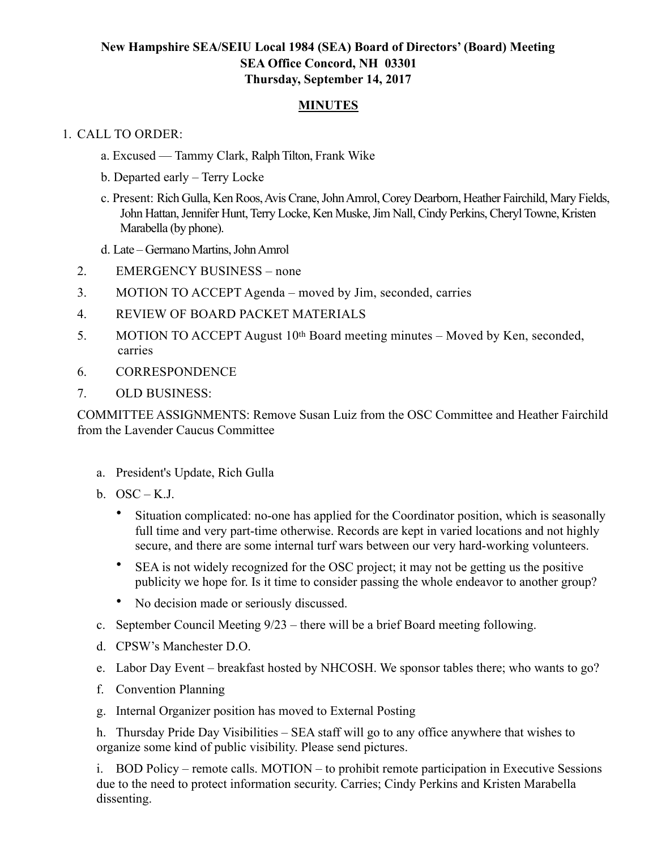# **New Hampshire SEA/SEIU Local 1984 (SEA) Board of Directors' (Board) Meeting SEA Office Concord, NH 03301 Thursday, September 14, 2017**

### **MINUTES**

### 1. CALL TO ORDER:

- a. Excused Tammy Clark, Ralph Tilton, Frank Wike
- b. Departed early Terry Locke
- c. Present: Rich Gulla, Ken Roos, Avis Crane, John Amrol, Corey Dearborn, Heather Fairchild, Mary Fields, John Hattan, Jennifer Hunt, Terry Locke, Ken Muske, Jim Nall, Cindy Perkins, Cheryl Towne, Kristen Marabella (by phone).
- d. Late Germano Martins, John Amrol
- 2. EMERGENCY BUSINESS none
- 3. MOTION TO ACCEPT Agenda moved by Jim, seconded, carries
- 4. REVIEW OF BOARD PACKET MATERIALS
- 5. MOTION TO ACCEPT August 10th Board meeting minutes Moved by Ken, seconded, carries
- 6. CORRESPONDENCE
- 7. OLD BUSINESS:

COMMITTEE ASSIGNMENTS: Remove Susan Luiz from the OSC Committee and Heather Fairchild from the Lavender Caucus Committee

- a. President's Update, Rich Gulla
- b.  $OSC K.J$ .
	- Situation complicated: no-one has applied for the Coordinator position, which is seasonally full time and very part-time otherwise. Records are kept in varied locations and not highly secure, and there are some internal turf wars between our very hard-working volunteers.
	- SEA is not widely recognized for the OSC project; it may not be getting us the positive publicity we hope for. Is it time to consider passing the whole endeavor to another group?
	- No decision made or seriously discussed.
- c. September Council Meeting 9/23 there will be a brief Board meeting following.
- d. CPSW's Manchester D.O.
- e. Labor Day Event breakfast hosted by NHCOSH. We sponsor tables there; who wants to go?
- f. Convention Planning
- g. Internal Organizer position has moved to External Posting

h. Thursday Pride Day Visibilities – SEA staff will go to any office anywhere that wishes to organize some kind of public visibility. Please send pictures.

i. BOD Policy – remote calls. MOTION – to prohibit remote participation in Executive Sessions due to the need to protect information security. Carries; Cindy Perkins and Kristen Marabella dissenting.